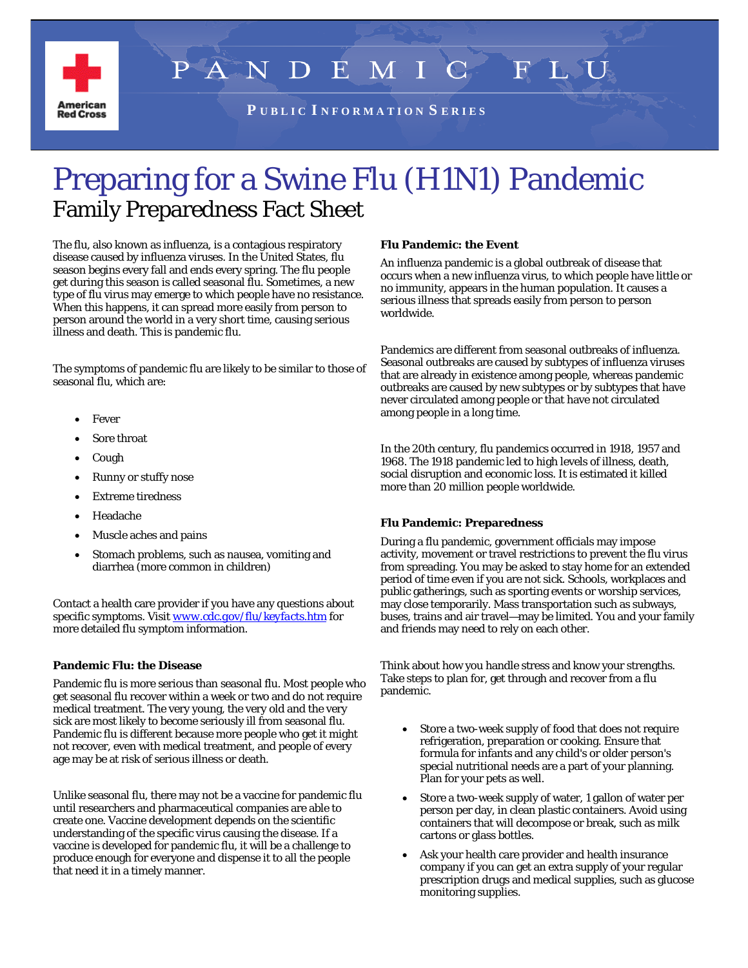

 $P A N$ **F LSU** D  $\mathbb{C}$ 

**P U B L I C I N F O R M A T I O N S E R I E S**

# Preparing for a Swine Flu (H1N1) Pandemic Family Preparedness Fact Sheet

The flu, also known as influenza, is a contagious respiratory disease caused by influenza viruses. In the United States, flu season begins every fall and ends every spring. The flu people get during this season is called seasonal flu. Sometimes, a new type of flu virus may emerge to which people have no resistance. When this happens, it can spread more easily from person to person around the world in a very short time, causing serious illness and death. This is pandemic flu.

The symptoms of pandemic flu are likely to be similar to those of seasonal flu, which are:

- **Fever**
- Sore throat
- Cough
- Runny or stuffy nose
- Extreme tiredness
- Headache
- Muscle aches and pains
- Stomach problems, such as nausea, vomiting and diarrhea (more common in children)

Contact a health care provider if you have any questions about specific symptoms. Visit *[www.cdc.gov/flu/keyfacts.htm](http://www.cdc.gov/flu/keyfacts.htm)* for more detailed flu symptom information.

## **Pandemic Flu: the Disease**

Pandemic flu is more serious than seasonal flu. Most people who get seasonal flu recover within a week or two and do not require medical treatment. The very young, the very old and the very sick are most likely to become seriously ill from seasonal flu. Pandemic flu is different because more people who get it might not recover, even with medical treatment, and people of every age may be at risk of serious illness or death.

Unlike seasonal flu, there may not be a vaccine for pandemic flu until researchers and pharmaceutical companies are able to create one. Vaccine development depends on the scientific understanding of the specific virus causing the disease. If a vaccine is developed for pandemic flu, it will be a challenge to produce enough for everyone and dispense it to all the people that need it in a timely manner.

### **Flu Pandemic: the Event**

An influenza pandemic is a global outbreak of disease that occurs when a new influenza virus, to which people have little or no immunity, appears in the human population. It causes a serious illness that spreads easily from person to person worldwide.

Pandemics are different from seasonal outbreaks of influenza. Seasonal outbreaks are caused by subtypes of influenza viruses that are already in existence among people, whereas pandemic outbreaks are caused by new subtypes or by subtypes that have never circulated among people or that have not circulated among people in a long time.

In the 20th century, flu pandemics occurred in 1918, 1957 and 1968. The 1918 pandemic led to high levels of illness, death, social disruption and economic loss. It is estimated it killed more than 20 million people worldwide.

## **Flu Pandemic: Preparedness**

During a flu pandemic, government officials may impose activity, movement or travel restrictions to prevent the flu virus from spreading. You may be asked to stay home for an extended period of time even if you are not sick. Schools, workplaces and public gatherings, such as sporting events or worship services, may close temporarily. Mass transportation such as subways, buses, trains and air travel—may be limited. You and your family and friends may need to rely on each other.

Think about how you handle stress and know your strengths. Take steps to plan for, get through and recover from a flu pandemic.

- Store a two-week supply of food that does not require refrigeration, preparation or cooking. Ensure that formula for infants and any child's or older person's special nutritional needs are a part of your planning. Plan for your pets as well.
- Store a two-week supply of water, 1 gallon of water per person per day, in clean plastic containers. Avoid using containers that will decompose or break, such as milk cartons or glass bottles.
- Ask your health care provider and health insurance company if you can get an extra supply of your regular prescription drugs and medical supplies, such as glucose monitoring supplies.